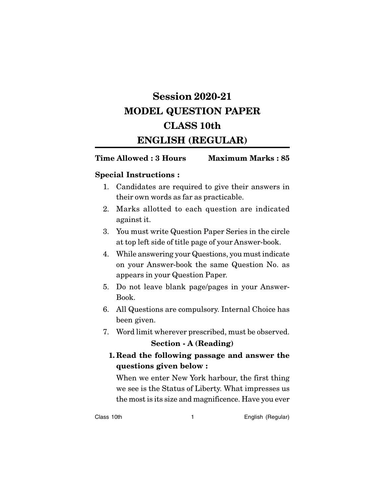# **Session 2020-21 MODEL QUESTION PAPER CLASS 10th ENGLISH (REGULAR)**

# **Time Allowed : 3 Hours Maximum Marks : 85**

# **Special Instructions :**

- 1. Candidates are required to give their answers in their own words as far as practicable.
- 2. Marks allotted to each question are indicated against it.
- 3. You must write Question Paper Series in the circle at top left side of title page of your Answer-book.
- 4. While answering your Questions, you must indicate on your Answer-book the same Question No. as appears in your Question Paper.
- 5. Do not leave blank page/pages in your Answer-Book.
- 6. All Questions are compulsory. Internal Choice has been given.
- 7. Word limit wherever prescribed, must be observed.

# **Section - A (Reading)**

# **1. Read the following passage and answer the questions given below :**

When we enter New York harbour, the first thing we see is the Status of Liberty. What impresses us the most is its size and magnificence. Have you ever

Class 10th 1 English (Regular)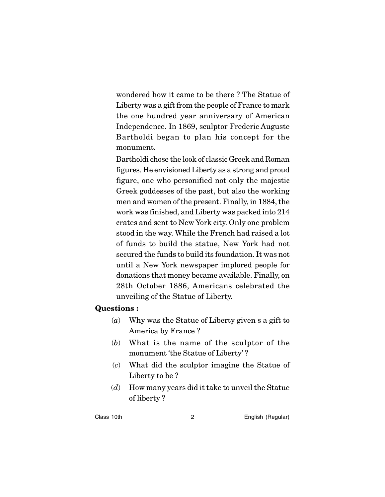wondered how it came to be there ? The Statue of Liberty was a gift from the people of France to mark the one hundred year anniversary of American Independence. In 1869, sculptor Frederic Auguste Bartholdi began to plan his concept for the monument.

Bartholdi chose the look of classic Greek and Roman figures. He envisioned Liberty as a strong and proud figure, one who personified not only the majestic Greek goddesses of the past, but also the working men and women of the present. Finally, in 1884, the work was finished, and Liberty was packed into 214 crates and sent to New York city. Only one problem stood in the way. While the French had raised a lot of funds to build the statue, New York had not secured the funds to build its foundation. It was not until a New York newspaper implored people for donations that money became available. Finally, on 28th October 1886, Americans celebrated the unveiling of the Statue of Liberty.

# **Questions :**

- (*a*) Why was the Statue of Liberty given s a gift to America by France ?
- (*b*) What is the name of the sculptor of the monument 'the Statue of Liberty' ?
- (*c*) What did the sculptor imagine the Statue of Liberty to be ?
- (*d*) How many years did it take to unveil the Statue of liberty ?

#### Class 10th 2 English (Regular)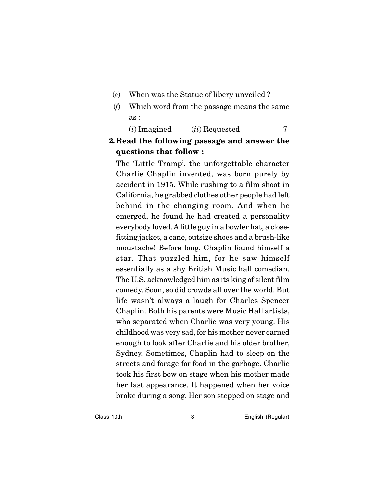- (*e*) When was the Statue of libery unveiled ?
- (*f*) Which word from the passage means the same as :

(*i*) Imagined (*ii*) Requested 7

# **2. Read the following passage and answer the questions that follow :**

The 'Little Tramp', the unforgettable character Charlie Chaplin invented, was born purely by accident in 1915. While rushing to a film shoot in California, he grabbed clothes other people had left behind in the changing room. And when he emerged, he found he had created a personality everybody loved. A little guy in a bowler hat, a closefitting jacket, a cane, outsize shoes and a brush-like moustache! Before long, Chaplin found himself a star. That puzzled him, for he saw himself essentially as a shy British Music hall comedian. The U.S. acknowledged him as its king of silent film comedy. Soon, so did crowds all over the world. But life wasn't always a laugh for Charles Spencer Chaplin. Both his parents were Music Hall artists, who separated when Charlie was very young. His childhood was very sad, for his mother never earned enough to look after Charlie and his older brother, Sydney. Sometimes, Chaplin had to sleep on the streets and forage for food in the garbage. Charlie took his first bow on stage when his mother made her last appearance. It happened when her voice broke during a song. Her son stepped on stage and

Class 10th **3** English (Regular)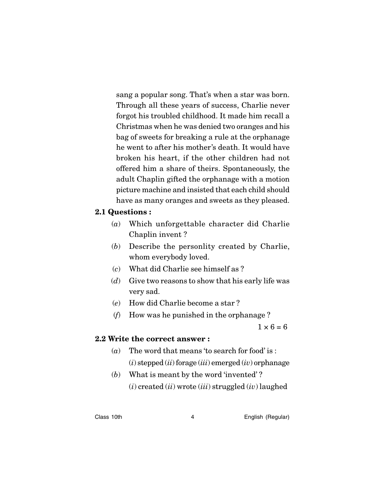sang a popular song. That's when a star was born. Through all these years of success, Charlie never forgot his troubled childhood. It made him recall a Christmas when he was denied two oranges and his bag of sweets for breaking a rule at the orphanage he went to after his mother's death. It would have broken his heart, if the other children had not offered him a share of theirs. Spontaneously, the adult Chaplin gifted the orphanage with a motion picture machine and insisted that each child should have as many oranges and sweets as they pleased.

# **2.1 Questions :**

- (*a*) Which unforgettable character did Charlie Chaplin invent ?
- (*b*) Describe the personlity created by Charlie, whom everybody loved.
- (*c*) What did Charlie see himself as ?
- (*d*) Give two reasons to show that his early life was very sad.
- (*e*) How did Charlie become a star ?
- (*f*) How was he punished in the orphanage ?

 $1 \times 6 = 6$ 

# **2.2 Write the correct answer :**

- (*a*) The word that means 'to search for food' is : (*i*) stepped (*ii*) forage (*iii*) emerged (*iv*) orphanage
- (*b*) What is meant by the word 'invented' ? (*i*) created (*ii*) wrote (*iii*) struggled (*iv*) laughed

Class 10th **4** English (Regular)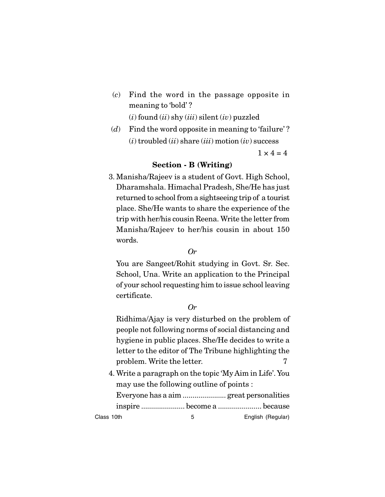(*c*) Find the word in the passage opposite in meaning to 'bold' ?

(*i*) found (*ii*) shy (*iii*) silent (*iv*) puzzled

(*d*) Find the word opposite in meaning to 'failure' ? (*i*) troubled (*ii*) share (*iii*) motion (*iv*) success

 $1 \times 4 = 4$ 

# **Section - B (Writing)**

3. Manisha/Rajeev is a student of Govt. High School, Dharamshala. Himachal Pradesh, She/He has just returned to school from a sightseeing trip of a tourist place. She/He wants to share the experience of the trip with her/his cousin Reena. Write the letter from Manisha/Rajeev to her/his cousin in about 150 words.

## *Or*

You are Sangeet/Rohit studying in Govt. Sr. Sec. School, Una. Write an application to the Principal of your school requesting him to issue school leaving certificate.

# *Or*

Ridhima/Ajay is very disturbed on the problem of people not following norms of social distancing and hygiene in public places. She/He decides to write a letter to the editor of The Tribune highlighting the problem. Write the letter.  $7$ 

4. Write a paragraph on the topic 'My Aim in Life'. You may use the following outline of points :

Everyone has a aim ...................... great personalities inspire ...................... become a ...................... because

Class 10th 6 English (Regular)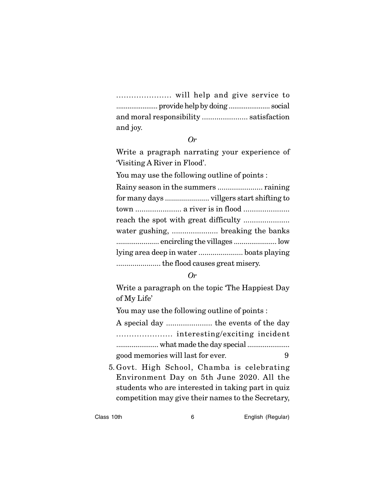...................... will help and give service to ...................... provide help by doing ...................... social and moral responsibility ...................... satisfaction and joy.

#### *Or*

Write a pragraph narrating your experience of 'Visiting A River in Flood'.

You may use the following outline of points :

| town  a river is in flood               |  |
|-----------------------------------------|--|
|                                         |  |
|                                         |  |
| encircling the villages  low            |  |
| lying area deep in water  boats playing |  |
|                                         |  |

#### *Or*

Write a paragraph on the topic 'The Happiest Day of My Life'

You may use the following outline of points :

A special day ...................... the events of the day ...................... interesting/exciting incident ...................... what made the day special ...................... good memories will last for ever. 9

5. Govt. High School, Chamba is celebrating Environment Day on 5th June 2020. All the students who are interested in taking part in quiz competition may give their names to the Secretary,

Class 10th 6 English (Regular)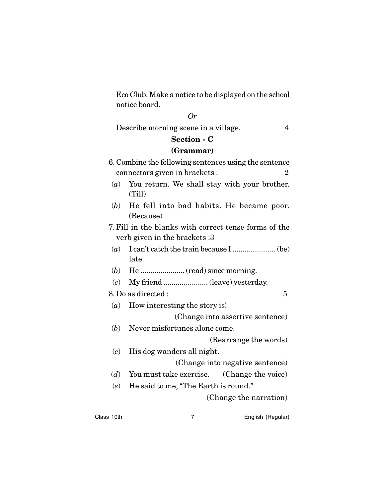Eco Club. Make a notice to be displayed on the school notice board.

## *Or*

Describe morning scene in a village. 4

# **Section - C**

#### **(Grammar)**

- 6. Combine the following sentences using the sentence connectors given in brackets :  $\qquad \qquad 2$ (*a*) You return. We shall stay with your brother.
	- (Till)
- (*b*) He fell into bad habits. He became poor. (Because)
- 7. Fill in the blanks with correct tense forms of the verb given in the brackets :3
- (*a*) I can't catch the train because I ...................... (be) late.
- (*b*) He ...................... (read) since morning.
- (*c*) My friend ...................... (leave) yesterday.

## 8. Do as directed : 5

- (*a*) How interesting the story is! (Change into assertive sentence)
- (*b*) Never misfortunes alone come.

(Rearrange the words)

- (*c*) His dog wanders all night.
	- (Change into negative sentence)
- (*d*) You must take exercise. (Change the voice)
- (*e*) He said to me, "The Earth is round."

(Change the narration)

Class 10th 7 **English (Regular)**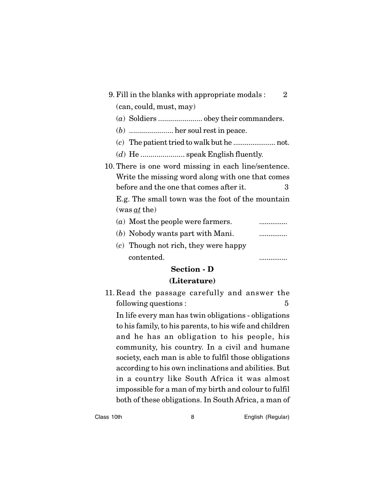| 9. Fill in the blanks with appropriate modals:<br>2  |
|------------------------------------------------------|
| (can, could, must, may)                              |
|                                                      |
| $(b)$ her soul rest in peace.                        |
|                                                      |
|                                                      |
| 10. There is one word missing in each line/sentence. |
| Write the missing word along with one that comes     |
| before and the one that comes after it.<br>3         |
| E.g. The small town was the foot of the mountain     |
| $(was \, at \, the)$                                 |
| (a) Most the people were farmers.                    |
| (b) Nobody wants part with Mani.<br>                 |
| $(c)$ Though not rich, they were happy               |

contented. ...............

# **Section - D**

# **(Literature)**

11. Read the passage carefully and answer the following questions :  $\qquad \qquad$  5

In life every man has twin obligations - obligations to his family, to his parents, to his wife and children and he has an obligation to his people, his community, his country. In a civil and humane society, each man is able to fulfil those obligations according to his own inclinations and abilities. But in a country like South Africa it was almost impossible for a man of my birth and colour to fulfil both of these obligations. In South Africa, a man of

Class 10th 8 English (Regular)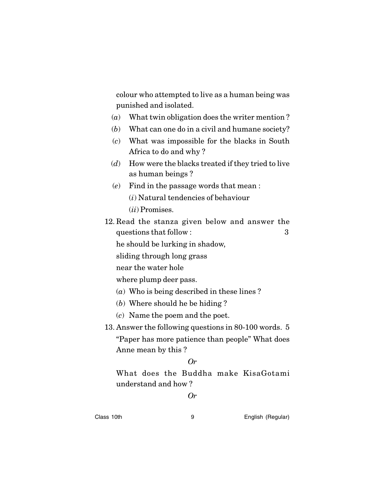colour who attempted to live as a human being was punished and isolated.

- (*a*) What twin obligation does the writer mention ?
- (*b*) What can one do in a civil and humane society?
- (*c*) What was impossible for the blacks in South Africa to do and why ?
- (*d*) How were the blacks treated if they tried to live as human beings ?
- (*e*) Find in the passage words that mean : (*i*) Natural tendencies of behaviour (*ii*) Promises.
- 12. Read the stanza given below and answer the questions that follow : 3 he should be lurking in shadow, sliding through long grass
	- near the water hole

where plump deer pass.

- (*a*) Who is being described in these lines ?
- (*b*) Where should he be hiding ?
- (*c*) Name the poem and the poet.

13. Answer the following questions in 80-100 words. 5 "Paper has more patience than people" What does

Anne mean by this ?

## *Or*

What does the Buddha make KisaGotami understand and how ?

## *Or*

Class 10th 9 English (Regular)